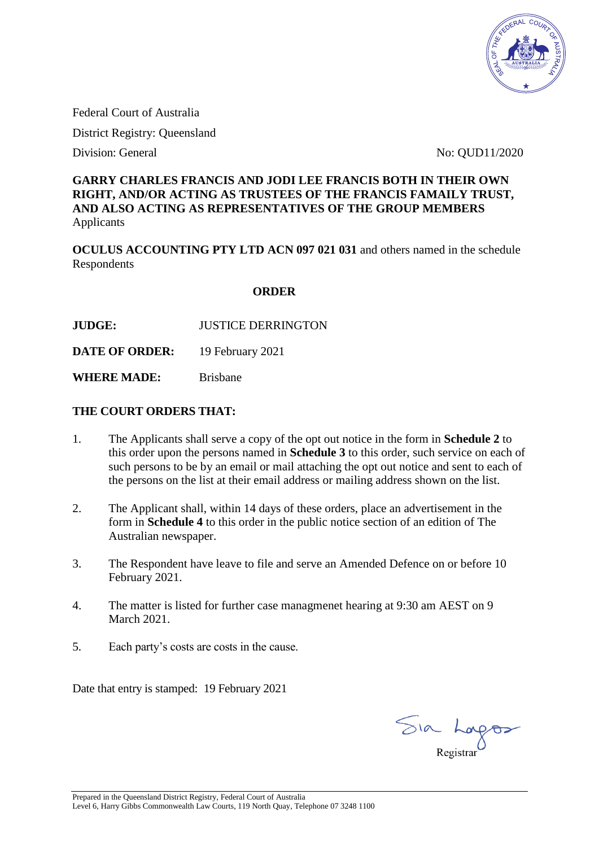

Federal Court of Australia

District Registry: Queensland

Division: General No: QUD11/2020

#### **GARRY CHARLES FRANCIS AND JODI LEE FRANCIS BOTH IN THEIR OWN RIGHT, AND/OR ACTING AS TRUSTEES OF THE FRANCIS FAMAILY TRUST, AND ALSO ACTING AS REPRESENTATIVES OF THE GROUP MEMBERS** Applicants

**OCULUS ACCOUNTING PTY LTD ACN 097 021 031** and others named in the schedule Respondents

#### **ORDER**

**JUDGE:** JUSTICE DERRINGTON

**DATE OF ORDER:** 19 February 2021

**WHERE MADE:** Brisbane

#### **THE COURT ORDERS THAT:**

- 1. The Applicants shall serve a copy of the opt out notice in the form in **Schedule 2** to this order upon the persons named in **Schedule 3** to this order, such service on each of such persons to be by an email or mail attaching the opt out notice and sent to each of the persons on the list at their email address or mailing address shown on the list.
- 2. The Applicant shall, within 14 days of these orders, place an advertisement in the form in **Schedule 4** to this order in the public notice section of an edition of The Australian newspaper.
- 3. The Respondent have leave to file and serve an Amended Defence on or before 10 February 2021.
- 4. The matter is listed for further case managmenet hearing at 9:30 am AEST on 9 March 2021.
- 5. Each party's costs are costs in the cause.

Date that entry is stamped: 19 February 2021

Sia Longos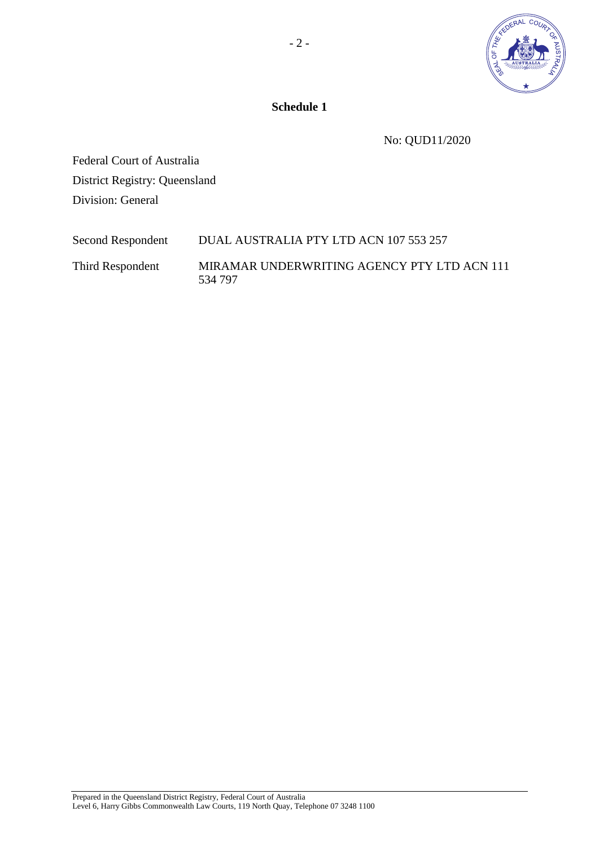

**Schedule 1** 

No: QUD11/2020

Federal Court of Australia District Registry: Queensland Division: General

| Second Respondent | DUAL AUSTRALIA PTY LTD ACN 107 553 257                 |
|-------------------|--------------------------------------------------------|
| Third Respondent  | MIRAMAR UNDERWRITING AGENCY PTY LTD ACN 111<br>534 797 |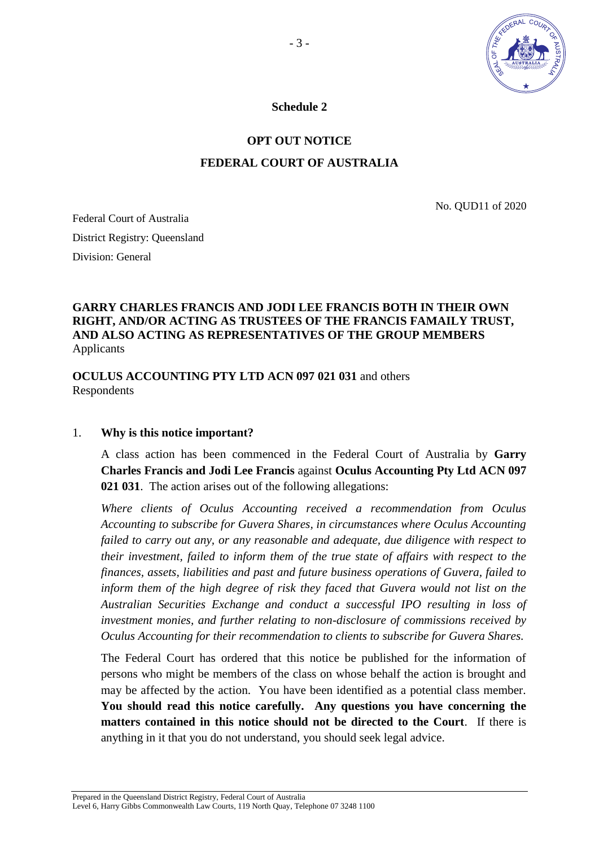

**Schedule 2** 

# **OPT OUT NOTICE**

## **FEDERAL COURT OF AUSTRALIA**

No. QUD11 of 2020

Federal Court of Australia District Registry: Queensland Division: General

# **GARRY CHARLES FRANCIS AND JODI LEE FRANCIS BOTH IN THEIR OWN RIGHT, AND/OR ACTING AS TRUSTEES OF THE FRANCIS FAMAILY TRUST, AND ALSO ACTING AS REPRESENTATIVES OF THE GROUP MEMBERS** Applicants

**OCULUS ACCOUNTING PTY LTD ACN 097 021 031** and others Respondents

#### 1. **Why is this notice important?**

A class action has been commenced in the Federal Court of Australia by **Garry Charles Francis and Jodi Lee Francis** against **Oculus Accounting Pty Ltd ACN 097 021 031**. The action arises out of the following allegations:

*Where clients of Oculus Accounting received a recommendation from Oculus Accounting to subscribe for Guvera Shares, in circumstances where Oculus Accounting failed to carry out any, or any reasonable and adequate, due diligence with respect to their investment, failed to inform them of the true state of affairs with respect to the finances, assets, liabilities and past and future business operations of Guvera, failed to inform them of the high degree of risk they faced that Guvera would not list on the Australian Securities Exchange and conduct a successful IPO resulting in loss of investment monies, and further relating to non-disclosure of commissions received by Oculus Accounting for their recommendation to clients to subscribe for Guvera Shares.* 

The Federal Court has ordered that this notice be published for the information of persons who might be members of the class on whose behalf the action is brought and may be affected by the action. You have been identified as a potential class member. **You should read this notice carefully. Any questions you have concerning the matters contained in this notice should not be directed to the Court**.If there is anything in it that you do not understand, you should seek legal advice.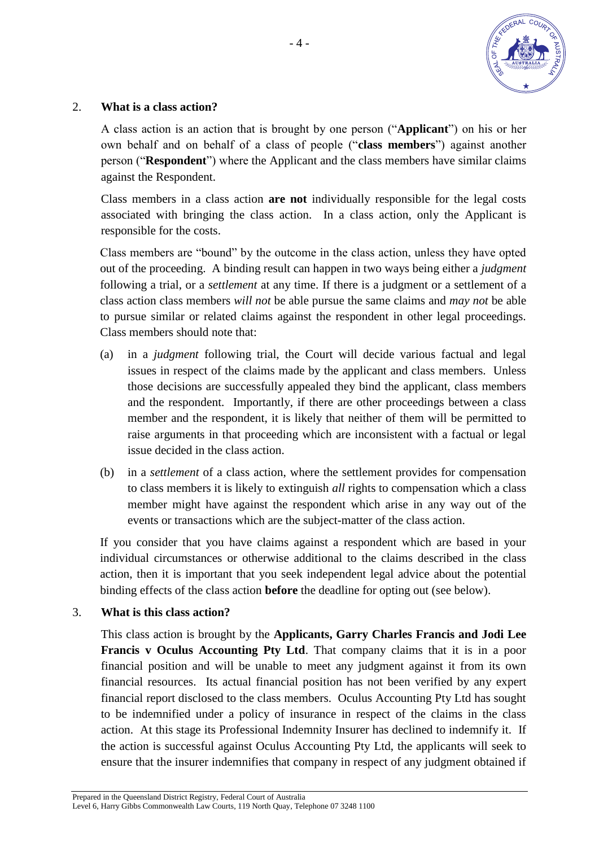

#### 2. **What is a class action?**

A class action is an action that is brought by one person ("**Applicant**") on his or her own behalf and on behalf of a class of people ("**class members**") against another person ("**Respondent**") where the Applicant and the class members have similar claims against the Respondent.

Class members in a class action **are not** individually responsible for the legal costs associated with bringing the class action. In a class action, only the Applicant is responsible for the costs.

Class members are "bound" by the outcome in the class action, unless they have opted out of the proceeding. A binding result can happen in two ways being either a *judgment* following a trial, or a *settlement* at any time. If there is a judgment or a settlement of a class action class members *will not* be able pursue the same claims and *may not* be able to pursue similar or related claims against the respondent in other legal proceedings. Class members should note that:

- (a) in a *judgment* following trial, the Court will decide various factual and legal issues in respect of the claims made by the applicant and class members. Unless those decisions are successfully appealed they bind the applicant, class members and the respondent. Importantly, if there are other proceedings between a class member and the respondent, it is likely that neither of them will be permitted to raise arguments in that proceeding which are inconsistent with a factual or legal issue decided in the class action.
- (b) in a *settlement* of a class action, where the settlement provides for compensation to class members it is likely to extinguish *all* rights to compensation which a class member might have against the respondent which arise in any way out of the events or transactions which are the subject-matter of the class action.

If you consider that you have claims against a respondent which are based in your individual circumstances or otherwise additional to the claims described in the class action, then it is important that you seek independent legal advice about the potential binding effects of the class action **before** the deadline for opting out (see below).

#### 3. **What is this class action?**

This class action is brought by the **Applicants, Garry Charles Francis and Jodi Lee Francis v Oculus Accounting Pty Ltd**. That company claims that it is in a poor financial position and will be unable to meet any judgment against it from its own financial resources. Its actual financial position has not been verified by any expert financial report disclosed to the class members. Oculus Accounting Pty Ltd has sought to be indemnified under a policy of insurance in respect of the claims in the class action. At this stage its Professional Indemnity Insurer has declined to indemnify it. If the action is successful against Oculus Accounting Pty Ltd, the applicants will seek to ensure that the insurer indemnifies that company in respect of any judgment obtained if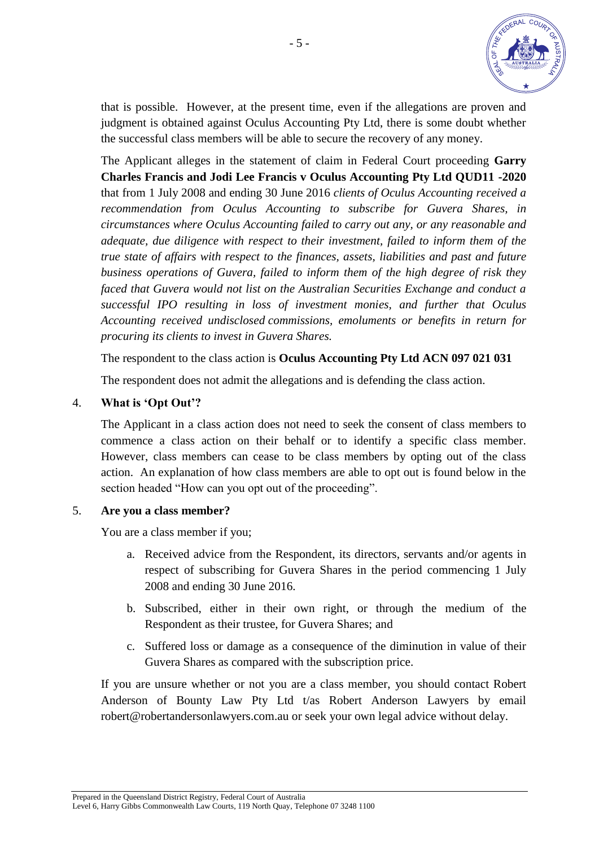

that is possible. However, at the present time, even if the allegations are proven and judgment is obtained against Oculus Accounting Pty Ltd, there is some doubt whether the successful class members will be able to secure the recovery of any money.

The Applicant alleges in the statement of claim in Federal Court proceeding **Garry Charles Francis and Jodi Lee Francis v Oculus Accounting Pty Ltd QUD11 -2020** that from 1 July 2008 and ending 30 June 2016 *clients of Oculus Accounting received a recommendation from Oculus Accounting to subscribe for Guvera Shares, in circumstances where Oculus Accounting failed to carry out any, or any reasonable and adequate, due diligence with respect to their investment, failed to inform them of the true state of affairs with respect to the finances, assets, liabilities and past and future business operations of Guvera, failed to inform them of the high degree of risk they faced that Guvera would not list on the Australian Securities Exchange and conduct a successful IPO resulting in loss of investment monies, and further that Oculus Accounting received undisclosed commissions, emoluments or benefits in return for procuring its clients to invest in Guvera Shares.* 

The respondent to the class action is **Oculus Accounting Pty Ltd ACN 097 021 031** 

The respondent does not admit the allegations and is defending the class action.

## 4. **What is 'Opt Out'?**

The Applicant in a class action does not need to seek the consent of class members to commence a class action on their behalf or to identify a specific class member. However, class members can cease to be class members by opting out of the class action. An explanation of how class members are able to opt out is found below in the section headed "How can you opt out of the proceeding".

#### 5. **Are you a class member?**

You are a class member if you;

- a. Received advice from the Respondent, its directors, servants and/or agents in respect of subscribing for Guvera Shares in the period commencing 1 July 2008 and ending 30 June 2016.
- b. Subscribed, either in their own right, or through the medium of the Respondent as their trustee, for Guvera Shares; and
- c. Suffered loss or damage as a consequence of the diminution in value of their Guvera Shares as compared with the subscription price.

If you are unsure whether or not you are a class member, you should contact Robert Anderson of Bounty Law Pty Ltd t/as Robert Anderson Lawyers by email robert@robertandersonlawyers.com.au or seek your own legal advice without delay.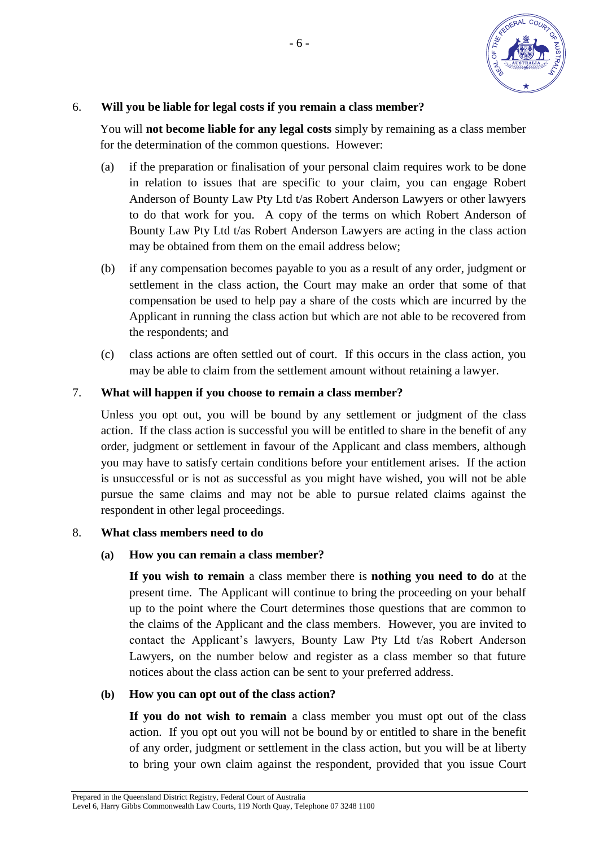

## 6. **Will you be liable for legal costs if you remain a class member?**

You will **not become liable for any legal costs** simply by remaining as a class member for the determination of the common questions. However:

- (a) if the preparation or finalisation of your personal claim requires work to be done in relation to issues that are specific to your claim, you can engage Robert Anderson of Bounty Law Pty Ltd t/as Robert Anderson Lawyers or other lawyers to do that work for you. A copy of the terms on which Robert Anderson of Bounty Law Pty Ltd t/as Robert Anderson Lawyers are acting in the class action may be obtained from them on the email address below;
- (b) if any compensation becomes payable to you as a result of any order, judgment or settlement in the class action, the Court may make an order that some of that compensation be used to help pay a share of the costs which are incurred by the Applicant in running the class action but which are not able to be recovered from the respondents; and
- (c) class actions are often settled out of court. If this occurs in the class action, you may be able to claim from the settlement amount without retaining a lawyer.

## 7. **What will happen if you choose to remain a class member?**

Unless you opt out, you will be bound by any settlement or judgment of the class action. If the class action is successful you will be entitled to share in the benefit of any order, judgment or settlement in favour of the Applicant and class members, although you may have to satisfy certain conditions before your entitlement arises. If the action is unsuccessful or is not as successful as you might have wished, you will not be able pursue the same claims and may not be able to pursue related claims against the respondent in other legal proceedings.

## 8. **What class members need to do**

## **(a) How you can remain a class member?**

**If you wish to remain** a class member there is **nothing you need to do** at the present time. The Applicant will continue to bring the proceeding on your behalf up to the point where the Court determines those questions that are common to the claims of the Applicant and the class members. However, you are invited to contact the Applicant's lawyers, Bounty Law Pty Ltd t/as Robert Anderson Lawyers, on the number below and register as a class member so that future notices about the class action can be sent to your preferred address.

## **(b) How you can opt out of the class action?**

**If you do not wish to remain** a class member you must opt out of the class action. If you opt out you will not be bound by or entitled to share in the benefit of any order, judgment or settlement in the class action, but you will be at liberty to bring your own claim against the respondent, provided that you issue Court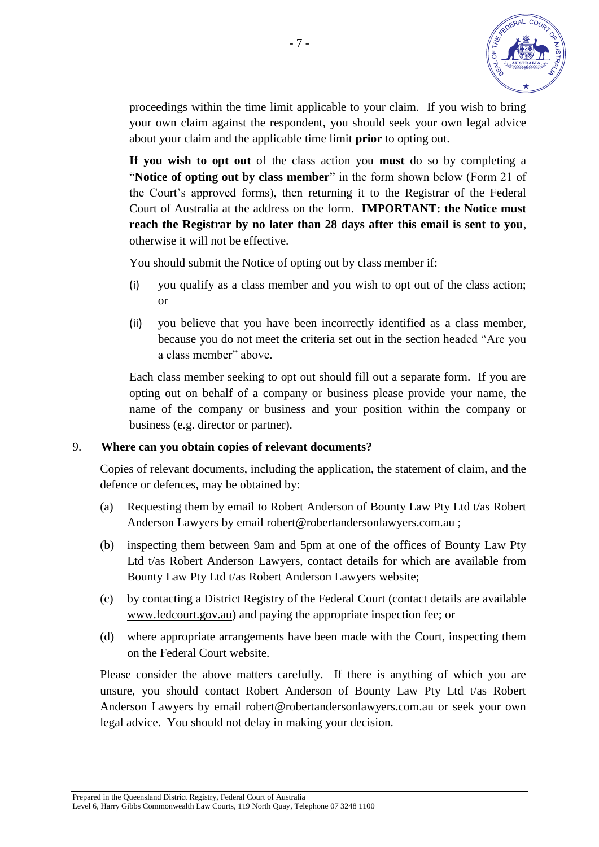

proceedings within the time limit applicable to your claim. If you wish to bring your own claim against the respondent, you should seek your own legal advice about your claim and the applicable time limit **prior** to opting out.

**If you wish to opt out** of the class action you **must** do so by completing a "**Notice of opting out by class member**" in the form shown below (Form 21 of the Court's approved forms), then returning it to the Registrar of the Federal Court of Australia at the address on the form. **IMPORTANT: the Notice must reach the Registrar by no later than 28 days after this email is sent to you**, otherwise it will not be effective.

You should submit the Notice of opting out by class member if:

- (i) you qualify as a class member and you wish to opt out of the class action; or
- (ii) you believe that you have been incorrectly identified as a class member, because you do not meet the criteria set out in the section headed "Are you a class member" above.

Each class member seeking to opt out should fill out a separate form. If you are opting out on behalf of a company or business please provide your name, the name of the company or business and your position within the company or business (e.g. director or partner).

## 9. **Where can you obtain copies of relevant documents?**

Copies of relevant documents, including the application, the statement of claim, and the defence or defences, may be obtained by:

- (a) Requesting them by email to Robert Anderson of Bounty Law Pty Ltd t/as Robert Anderson Lawyers by email robert@robertandersonlawyers.com.au ;
- (b) inspecting them between 9am and 5pm at one of the offices of Bounty Law Pty Ltd t/as Robert Anderson Lawyers, contact details for which are available from Bounty Law Pty Ltd t/as Robert Anderson Lawyers website;
- (c) by contacting a District Registry of the Federal Court (contact details are available www.fedcourt.gov.au) and paying the appropriate inspection fee; or
- (d) where appropriate arrangements have been made with the Court, inspecting them on the Federal Court website.

Please consider the above matters carefully. If there is anything of which you are unsure, you should contact Robert Anderson of Bounty Law Pty Ltd t/as Robert Anderson Lawyers by email robert@robertandersonlawyers.com.au or seek your own legal advice. You should not delay in making your decision.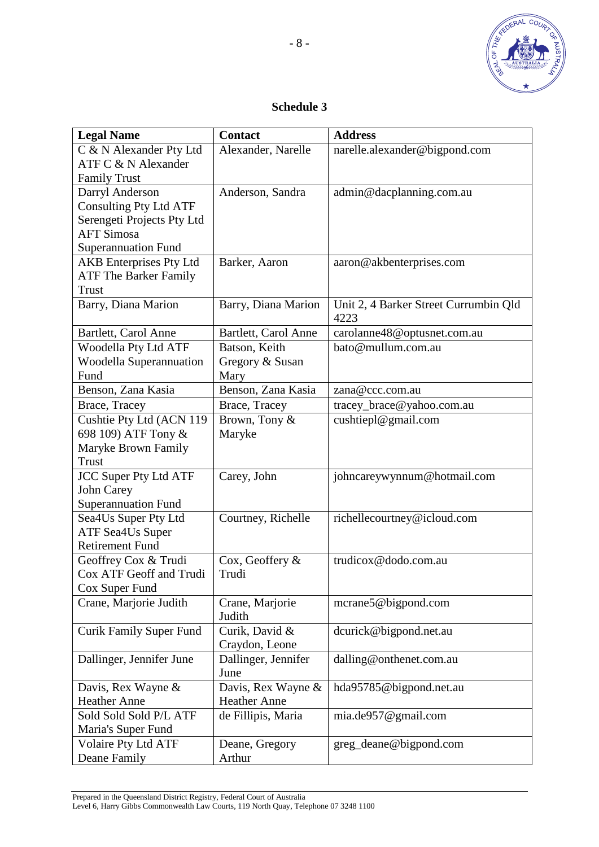

- 8 -

# **Schedule 3**

| <b>Legal Name</b>                                 | <b>Contact</b>       | <b>Address</b>                        |
|---------------------------------------------------|----------------------|---------------------------------------|
| C & N Alexander Pty Ltd                           | Alexander, Narelle   | narelle.alexander@bigpond.com         |
| ATF C & N Alexander                               |                      |                                       |
| <b>Family Trust</b>                               |                      |                                       |
| Darryl Anderson                                   | Anderson, Sandra     | admin@dacplanning.com.au              |
| <b>Consulting Pty Ltd ATF</b>                     |                      |                                       |
| Serengeti Projects Pty Ltd                        |                      |                                       |
| <b>AFT Simosa</b>                                 |                      |                                       |
| <b>Superannuation Fund</b>                        |                      |                                       |
| <b>AKB</b> Enterprises Pty Ltd                    | Barker, Aaron        | aaron@akbenterprises.com              |
| <b>ATF The Barker Family</b>                      |                      |                                       |
| <b>Trust</b>                                      |                      |                                       |
| Barry, Diana Marion                               | Barry, Diana Marion  | Unit 2, 4 Barker Street Currumbin Qld |
|                                                   |                      | 4223                                  |
| Bartlett, Carol Anne                              | Bartlett, Carol Anne | carolanne48@optusnet.com.au           |
| Woodella Pty Ltd ATF                              | Batson, Keith        | bato@mullum.com.au                    |
| <b>Woodella Superannuation</b>                    | Gregory & Susan      |                                       |
| Fund                                              | Mary                 |                                       |
| Benson, Zana Kasia                                | Benson, Zana Kasia   | zana@ccc.com.au                       |
| Brace, Tracey                                     | Brace, Tracey        | tracey_brace@yahoo.com.au             |
| Cushtie Pty Ltd (ACN 119                          | Brown, Tony &        | cushtiepl@gmail.com                   |
| 698 109) ATF Tony &                               | Maryke               |                                       |
| Maryke Brown Family                               |                      |                                       |
| Trust                                             |                      |                                       |
| <b>JCC Super Pty Ltd ATF</b>                      | Carey, John          | johncareywynnum@hotmail.com           |
| <b>John Carey</b>                                 |                      |                                       |
| <b>Superannuation Fund</b>                        |                      |                                       |
| Sea4Us Super Pty Ltd                              | Courtney, Richelle   | richellecourtney@icloud.com           |
| <b>ATF Sea4Us Super</b><br><b>Retirement Fund</b> |                      |                                       |
| Geoffrey Cox & Trudi                              | Cox, Geoffery &      | trudicox@dodo.com.au                  |
| Cox ATF Geoff and Trudi                           | Trudi                |                                       |
| Cox Super Fund                                    |                      |                                       |
| Crane, Marjorie Judith                            | Crane, Marjorie      | mcrane5@bigpond.com                   |
|                                                   | Judith               |                                       |
| <b>Curik Family Super Fund</b>                    | Curik, David &       | dcurick@bigpond.net.au                |
|                                                   | Craydon, Leone       |                                       |
| Dallinger, Jennifer June                          | Dallinger, Jennifer  | dalling@onthenet.com.au               |
|                                                   | June                 |                                       |
| Davis, Rex Wayne &                                | Davis, Rex Wayne &   | hda95785@bigpond.net.au               |
| <b>Heather Anne</b>                               | <b>Heather Anne</b>  |                                       |
| Sold Sold Sold P/L ATF                            | de Fillipis, Maria   | mia.de957@gmail.com                   |
| Maria's Super Fund                                |                      |                                       |
| <b>Volaire Pty Ltd ATF</b>                        | Deane, Gregory       | greg_deane@bigpond.com                |
| Deane Family                                      | Arthur               |                                       |

Prepared in the Queensland District Registry, Federal Court of Australia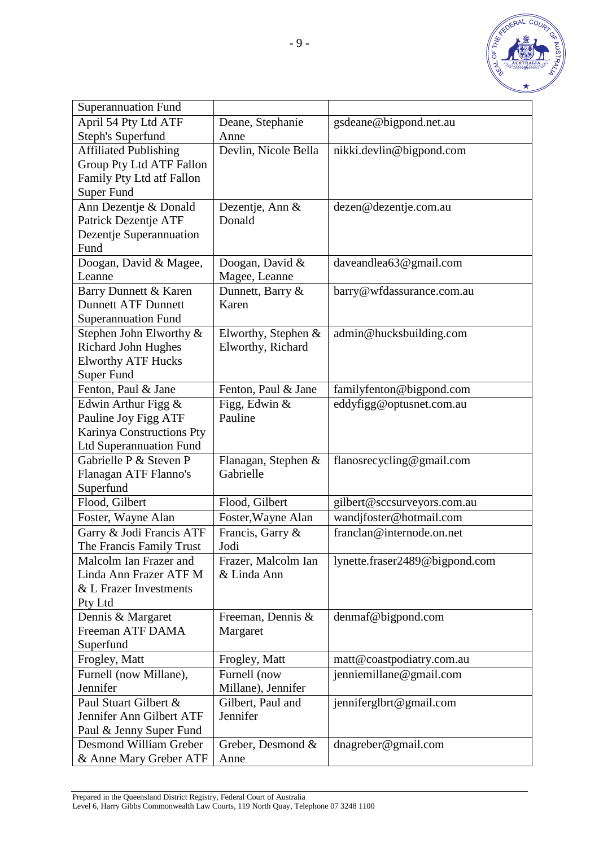

| <b>Superannuation Fund</b>     |                       |                                |
|--------------------------------|-----------------------|--------------------------------|
| April 54 Pty Ltd ATF           | Deane, Stephanie      | gsdeane@bigpond.net.au         |
| <b>Steph's Superfund</b>       | Anne                  |                                |
| <b>Affiliated Publishing</b>   | Devlin, Nicole Bella  | nikki.devlin@bigpond.com       |
| Group Pty Ltd ATF Fallon       |                       |                                |
| Family Pty Ltd atf Fallon      |                       |                                |
| <b>Super Fund</b>              |                       |                                |
| Ann Dezentje & Donald          | Dezentje, Ann &       | dezen@dezentje.com.au          |
| Patrick Dezentje ATF           | Donald                |                                |
| Dezentje Superannuation        |                       |                                |
| Fund                           |                       |                                |
| Doogan, David & Magee,         | Doogan, David &       | daveandlea63@gmail.com         |
| Leanne                         | Magee, Leanne         |                                |
| Barry Dunnett & Karen          | Dunnett, Barry &      | barry@wfdassurance.com.au      |
| <b>Dunnett ATF Dunnett</b>     | Karen                 |                                |
| <b>Superannuation Fund</b>     |                       |                                |
| Stephen John Elworthy &        | Elworthy, Stephen $&$ | admin@hucksbuilding.com        |
| <b>Richard John Hughes</b>     | Elworthy, Richard     |                                |
| <b>Elworthy ATF Hucks</b>      |                       |                                |
| <b>Super Fund</b>              |                       |                                |
| Fenton, Paul & Jane            | Fenton, Paul & Jane   | familyfenton@bigpond.com       |
| Edwin Arthur Figg &            | Figg, Edwin &         | eddyfigg@optusnet.com.au       |
| Pauline Joy Figg ATF           | Pauline               |                                |
| Karinya Constructions Pty      |                       |                                |
| <b>Ltd Superannuation Fund</b> |                       |                                |
| Gabrielle P & Steven P         | Flanagan, Stephen &   | flanosrecycling@gmail.com      |
| Flanagan ATF Flanno's          | Gabrielle             |                                |
| Superfund                      |                       |                                |
| Flood, Gilbert                 | Flood, Gilbert        | gilbert@sccsurveyors.com.au    |
| Foster, Wayne Alan             | Foster, Wayne Alan    | wandjfoster@hotmail.com        |
| Garry & Jodi Francis ATF       | Francis, Garry &      | franclan@internode.on.net      |
| The Francis Family Trust       | Jodi                  |                                |
| Malcolm Ian Frazer and         | Frazer, Malcolm Ian   | lynette.fraser2489@bigpond.com |
| Linda Ann Frazer ATF M         | & Linda Ann           |                                |
| & L Frazer Investments         |                       |                                |
| Pty Ltd                        |                       |                                |
| Dennis & Margaret              | Freeman, Dennis &     | denmaf@bigpond.com             |
| Freeman ATF DAMA               | Margaret              |                                |
| Superfund                      |                       |                                |
| Frogley, Matt                  | Frogley, Matt         | matt@coastpodiatry.com.au      |
| Furnell (now Millane),         | Furnell (now          | jenniemillane@gmail.com        |
| Jennifer                       | Millane), Jennifer    |                                |
| Paul Stuart Gilbert &          | Gilbert, Paul and     | jenniferglbrt@gmail.com        |
| Jennifer Ann Gilbert ATF       | Jennifer              |                                |
| Paul & Jenny Super Fund        |                       |                                |
| Desmond William Greber         | Greber, Desmond &     | dnagreber@gmail.com            |
| & Anne Mary Greber ATF         | Anne                  |                                |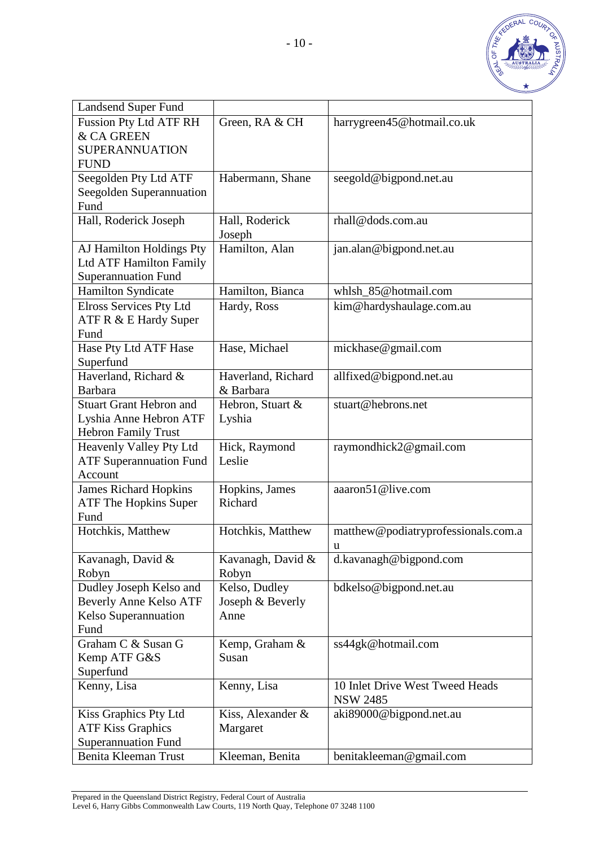

| <b>Landsend Super Fund</b>              |                    |                                     |
|-----------------------------------------|--------------------|-------------------------------------|
| <b>Fussion Pty Ltd ATF RH</b>           | Green, RA & CH     | harrygreen45@hotmail.co.uk          |
| & CA GREEN                              |                    |                                     |
| <b>SUPERANNUATION</b>                   |                    |                                     |
| <b>FUND</b>                             |                    |                                     |
| Seegolden Pty Ltd ATF                   | Habermann, Shane   | seegold@bigpond.net.au              |
| Seegolden Superannuation                |                    |                                     |
| Fund                                    |                    |                                     |
| Hall, Roderick Joseph                   | Hall, Roderick     | rhall@dods.com.au                   |
|                                         | Joseph             |                                     |
| AJ Hamilton Holdings Pty                | Hamilton, Alan     | jan.alan@bigpond.net.au             |
| Ltd ATF Hamilton Family                 |                    |                                     |
| <b>Superannuation Fund</b>              |                    |                                     |
| Hamilton Syndicate                      | Hamilton, Bianca   | whlsh_85@hotmail.com                |
| <b>Elross Services Pty Ltd</b>          | Hardy, Ross        | kim@hardyshaulage.com.au            |
| ATF R & E Hardy Super                   |                    |                                     |
| Fund                                    |                    |                                     |
| Hase Pty Ltd ATF Hase                   | Hase, Michael      | mickhase@gmail.com                  |
| Superfund                               |                    |                                     |
| Haverland, Richard &                    | Haverland, Richard | allfixed@bigpond.net.au             |
| <b>Barbara</b>                          | & Barbara          |                                     |
| <b>Stuart Grant Hebron and</b>          | Hebron, Stuart &   | stuart@hebrons.net                  |
| Lyshia Anne Hebron ATF                  | Lyshia             |                                     |
| <b>Hebron Family Trust</b>              |                    |                                     |
| Heavenly Valley Pty Ltd                 | Hick, Raymond      | raymondhick2@gmail.com              |
| <b>ATF Superannuation Fund</b>          | Leslie             |                                     |
| Account<br><b>James Richard Hopkins</b> | Hopkins, James     | aaaron51@live.com                   |
| <b>ATF The Hopkins Super</b>            | Richard            |                                     |
| Fund                                    |                    |                                     |
| Hotchkis, Matthew                       | Hotchkis, Matthew  | matthew@podiatryprofessionals.com.a |
|                                         |                    | u                                   |
| Kavanagh, David &                       | Kavanagh, David &  | d.kavanagh@bigpond.com              |
| Robyn                                   | Robyn              |                                     |
| Dudley Joseph Kelso and                 | Kelso, Dudley      | bdkelso@bigpond.net.au              |
| <b>Beverly Anne Kelso ATF</b>           | Joseph & Beverly   |                                     |
| Kelso Superannuation                    | Anne               |                                     |
| Fund                                    |                    |                                     |
| Graham C & Susan G                      | Kemp, Graham &     | ss44gk@hotmail.com                  |
| Kemp ATF G&S                            | Susan              |                                     |
| Superfund                               |                    |                                     |
| Kenny, Lisa                             | Kenny, Lisa        | 10 Inlet Drive West Tweed Heads     |
|                                         |                    | <b>NSW 2485</b>                     |
| Kiss Graphics Pty Ltd                   | Kiss, Alexander &  | aki89000@bigpond.net.au             |
| <b>ATF Kiss Graphics</b>                | Margaret           |                                     |
| <b>Superannuation Fund</b>              |                    |                                     |
| Benita Kleeman Trust                    | Kleeman, Benita    | benitakleeman@gmail.com             |

Prepared in the Queensland District Registry, Federal Court of Australia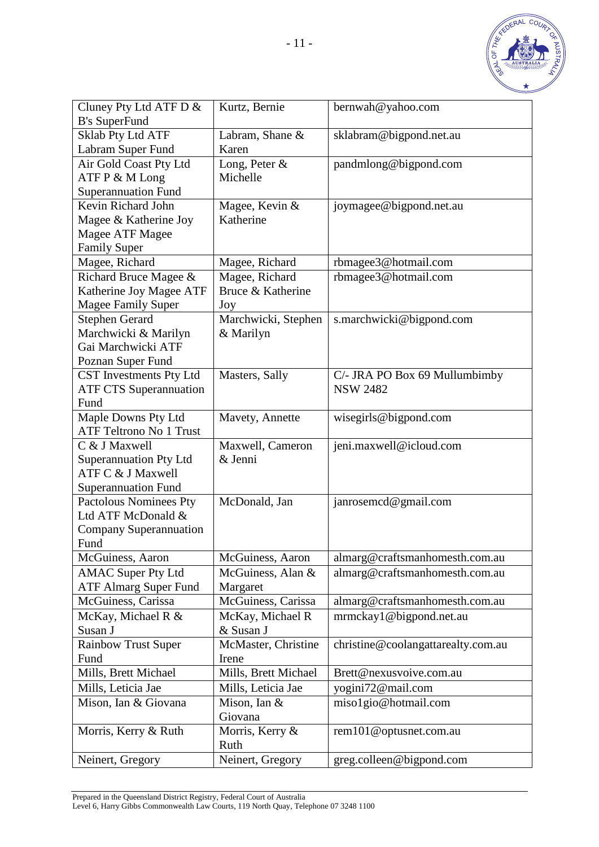

| Cluney Pty Ltd ATF D &                          | Kurtz, Bernie               | bernwah@yahoo.com                  |
|-------------------------------------------------|-----------------------------|------------------------------------|
| <b>B's SuperFund</b>                            |                             |                                    |
| <b>Sklab Pty Ltd ATF</b>                        | Labram, Shane &             | sklabram@bigpond.net.au            |
| Labram Super Fund                               | Karen                       |                                    |
| Air Gold Coast Pty Ltd                          | Long, Peter &               | pandmlong@bigpond.com              |
| ATF P & M Long                                  | Michelle                    |                                    |
| <b>Superannuation Fund</b>                      |                             |                                    |
| Kevin Richard John                              | Magee, Kevin &              | joymagee@bigpond.net.au            |
| Magee & Katherine Joy                           | Katherine                   |                                    |
| Magee ATF Magee                                 |                             |                                    |
| <b>Family Super</b>                             |                             |                                    |
| Magee, Richard                                  | Magee, Richard              | rbmagee3@hotmail.com               |
| Richard Bruce Magee &                           | Magee, Richard              | rbmagee3@hotmail.com               |
| Katherine Joy Magee ATF                         | Bruce & Katherine           |                                    |
| <b>Magee Family Super</b>                       | Joy                         |                                    |
| <b>Stephen Gerard</b>                           | Marchwicki, Stephen         | s.marchwicki@bigpond.com           |
| Marchwicki & Marilyn                            | & Marilyn                   |                                    |
| Gai Marchwicki ATF                              |                             |                                    |
| Poznan Super Fund                               |                             |                                    |
| CST Investments Pty Ltd                         | Masters, Sally              | C/- JRA PO Box 69 Mullumbimby      |
| <b>ATF CTS Superannuation</b>                   |                             | <b>NSW 2482</b>                    |
| Fund                                            |                             |                                    |
| Maple Downs Pty Ltd                             | Mavety, Annette             | wisegirls@bigpond.com              |
| <b>ATF Teltrono No 1 Trust</b><br>C & J Maxwell |                             |                                    |
| <b>Superannuation Pty Ltd</b>                   | Maxwell, Cameron<br>& Jenni | jeni.maxwell@icloud.com            |
| ATF C & J Maxwell                               |                             |                                    |
| <b>Superannuation Fund</b>                      |                             |                                    |
| <b>Pactolous Nominees Pty</b>                   | McDonald, Jan               | janrosemcd@gmail.com               |
| Ltd ATF McDonald &                              |                             |                                    |
| Company Superannuation                          |                             |                                    |
| Fund                                            |                             |                                    |
| McGuiness, Aaron                                | McGuiness, Aaron            | almarg@craftsmanhomesth.com.au     |
| <b>AMAC Super Pty Ltd</b>                       | McGuiness, Alan &           | almarg@craftsmanhomesth.com.au     |
| <b>ATF Almarg Super Fund</b>                    | Margaret                    |                                    |
| McGuiness, Carissa                              | McGuiness, Carissa          | almarg@craftsmanhomesth.com.au     |
| McKay, Michael R &                              | McKay, Michael R            | mrmckay1@bigpond.net.au            |
| Susan J                                         | & Susan J                   |                                    |
| <b>Rainbow Trust Super</b>                      | McMaster, Christine         | christine@coolangattarealty.com.au |
| Fund                                            | Irene                       |                                    |
| Mills, Brett Michael                            | Mills, Brett Michael        | Brett@nexusvoive.com.au            |
| Mills, Leticia Jae                              | Mills, Leticia Jae          | yogini72@mail.com                  |
| Mison, Ian & Giovana                            | Mison, Ian &                | miso1gio@hotmail.com               |
|                                                 | Giovana                     |                                    |
| Morris, Kerry & Ruth                            | Morris, Kerry &             | rem101@optusnet.com.au             |
|                                                 | Ruth                        |                                    |
| Neinert, Gregory                                | Neinert, Gregory            | greg.colleen@bigpond.com           |

Prepared in the Queensland District Registry, Federal Court of Australia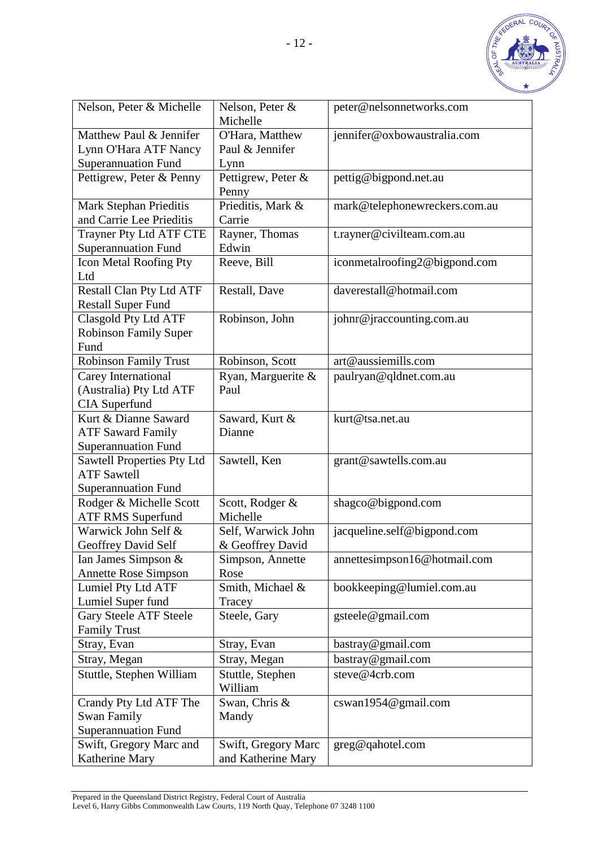

| Nelson, Peter & Michelle             | Nelson, Peter &<br>Michelle | peter@nelsonnetworks.com      |
|--------------------------------------|-----------------------------|-------------------------------|
| Matthew Paul & Jennifer              | O'Hara, Matthew             | jennifer@oxbowaustralia.com   |
| Lynn O'Hara ATF Nancy                | Paul & Jennifer             |                               |
| <b>Superannuation Fund</b>           | Lynn                        |                               |
| Pettigrew, Peter & Penny             | Pettigrew, Peter &          | pettig@bigpond.net.au         |
|                                      | Penny                       |                               |
| Mark Stephan Prieditis               | Prieditis, Mark &           | mark@telephonewreckers.com.au |
| and Carrie Lee Prieditis             | Carrie                      |                               |
| Trayner Pty Ltd ATF CTE              | Rayner, Thomas              | t.rayner@civilteam.com.au     |
| <b>Superannuation Fund</b>           | Edwin                       |                               |
| Icon Metal Roofing Pty               | Reeve, Bill                 | iconmetalroofing2@bigpond.com |
| Ltd                                  |                             |                               |
| <b>Restall Clan Pty Ltd ATF</b>      | Restall, Dave               | daverestall@hotmail.com       |
| <b>Restall Super Fund</b>            |                             |                               |
| Clasgold Pty Ltd ATF                 | Robinson, John              | johnr@jraccounting.com.au     |
| <b>Robinson Family Super</b><br>Fund |                             |                               |
| <b>Robinson Family Trust</b>         | Robinson, Scott             | art@aussiemills.com           |
| Carey International                  | Ryan, Marguerite &          |                               |
| (Australia) Pty Ltd ATF              | Paul                        | paulryan@qldnet.com.au        |
| <b>CIA</b> Superfund                 |                             |                               |
| Kurt & Dianne Saward                 | Saward, Kurt &              | kurt@tsa.net.au               |
| <b>ATF Saward Family</b>             | Dianne                      |                               |
| <b>Superannuation Fund</b>           |                             |                               |
| <b>Sawtell Properties Pty Ltd</b>    | Sawtell, Ken                | grant@sawtells.com.au         |
| <b>ATF Sawtell</b>                   |                             |                               |
| <b>Superannuation Fund</b>           |                             |                               |
| Rodger & Michelle Scott              | Scott, Rodger &             | shagco@bigpond.com            |
| <b>ATF RMS Superfund</b>             | Michelle                    |                               |
| Warwick John Self &                  | Self, Warwick John          | jacqueline.self@bigpond.com   |
| Geoffrey David Self                  | & Geoffrey David            |                               |
| Ian James Simpson &                  | Simpson, Annette            | annettesimpson16@hotmail.com  |
| <b>Annette Rose Simpson</b>          | Rose                        |                               |
| Lumiel Pty Ltd ATF                   | Smith, Michael &            | bookkeeping@lumiel.com.au     |
| Lumiel Super fund                    | Tracey                      |                               |
| <b>Gary Steele ATF Steele</b>        | Steele, Gary                | gsteele@gmail.com             |
| <b>Family Trust</b>                  |                             |                               |
| Stray, Evan                          | Stray, Evan                 | bastray@gmail.com             |
| Stray, Megan                         | Stray, Megan                | bastray@gmail.com             |
| Stuttle, Stephen William             | Stuttle, Stephen            | steve@4crb.com                |
|                                      | William                     |                               |
| Crandy Pty Ltd ATF The               | Swan, Chris &               | cswan1954@gmail.com           |
| Swan Family                          | Mandy                       |                               |
| <b>Superannuation Fund</b>           |                             |                               |
| Swift, Gregory Marc and              | Swift, Gregory Marc         | greg@qahotel.com              |
| Katherine Mary                       | and Katherine Mary          |                               |

Prepared in the Queensland District Registry, Federal Court of Australia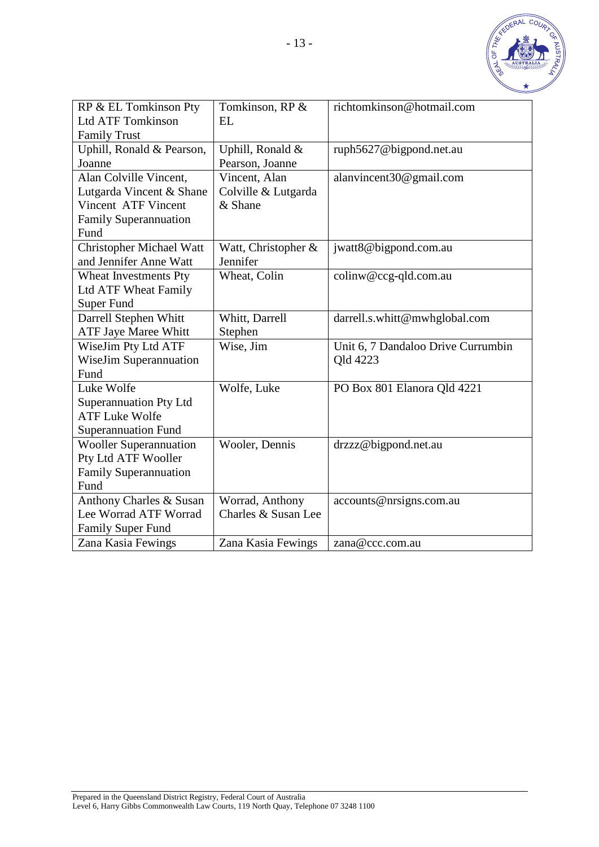

| RP & EL Tomkinson Pty           | Tomkinson, RP &     | richtomkinson@hotmail.com          |
|---------------------------------|---------------------|------------------------------------|
| <b>Ltd ATF Tomkinson</b>        | <b>EL</b>           |                                    |
| <b>Family Trust</b>             |                     |                                    |
| Uphill, Ronald & Pearson,       | Uphill, Ronald &    | ruph5627@bigpond.net.au            |
| Joanne                          | Pearson, Joanne     |                                    |
| Alan Colville Vincent,          | Vincent, Alan       | alanvincent30@gmail.com            |
| Lutgarda Vincent & Shane        | Colville & Lutgarda |                                    |
| Vincent ATF Vincent             | & Shane             |                                    |
| <b>Family Superannuation</b>    |                     |                                    |
| Fund                            |                     |                                    |
| <b>Christopher Michael Watt</b> | Watt, Christopher & | jwatt8@bigpond.com.au              |
| and Jennifer Anne Watt          | Jennifer            |                                    |
| Wheat Investments Pty           | Wheat, Colin        | colinw@ccg-qld.com.au              |
| Ltd ATF Wheat Family            |                     |                                    |
| <b>Super Fund</b>               |                     |                                    |
| Darrell Stephen Whitt           | Whitt, Darrell      | darrell.s.whitt@mwhglobal.com      |
| ATF Jaye Maree Whitt            | Stephen             |                                    |
| WiseJim Pty Ltd ATF             | Wise, Jim           | Unit 6, 7 Dandaloo Drive Currumbin |
| <b>WiseJim Superannuation</b>   |                     | Old 4223                           |
| Fund                            |                     |                                    |
| Luke Wolfe                      | Wolfe, Luke         | PO Box 801 Elanora Qld 4221        |
| <b>Superannuation Pty Ltd</b>   |                     |                                    |
| <b>ATF Luke Wolfe</b>           |                     |                                    |
| <b>Superannuation Fund</b>      |                     |                                    |
| <b>Wooller Superannuation</b>   | Wooler, Dennis      | drzzz@bigpond.net.au               |
| Pty Ltd ATF Wooller             |                     |                                    |
| <b>Family Superannuation</b>    |                     |                                    |
| Fund                            |                     |                                    |
| Anthony Charles & Susan         | Worrad, Anthony     | accounts@nrsigns.com.au            |
| Lee Worrad ATF Worrad           | Charles & Susan Lee |                                    |
| Family Super Fund               |                     |                                    |
| Zana Kasia Fewings              | Zana Kasia Fewings  | zana@ccc.com.au                    |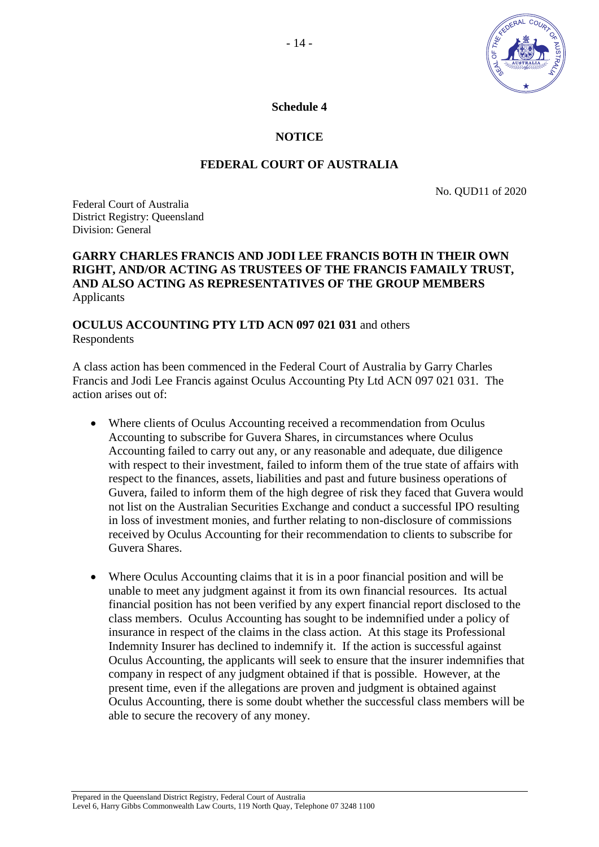

**Schedule 4** 

# **NOTICE**

# **FEDERAL COURT OF AUSTRALIA**

No. QUD11 of 2020

Federal Court of Australia District Registry: Queensland Division: General

#### **GARRY CHARLES FRANCIS AND JODI LEE FRANCIS BOTH IN THEIR OWN RIGHT, AND/OR ACTING AS TRUSTEES OF THE FRANCIS FAMAILY TRUST, AND ALSO ACTING AS REPRESENTATIVES OF THE GROUP MEMBERS** Applicants

## **OCULUS ACCOUNTING PTY LTD ACN 097 021 031** and others Respondents

A class action has been commenced in the Federal Court of Australia by Garry Charles Francis and Jodi Lee Francis against Oculus Accounting Pty Ltd ACN 097 021 031. The action arises out of:

- Where clients of Oculus Accounting received a recommendation from Oculus Accounting to subscribe for Guvera Shares, in circumstances where Oculus Accounting failed to carry out any, or any reasonable and adequate, due diligence with respect to their investment, failed to inform them of the true state of affairs with respect to the finances, assets, liabilities and past and future business operations of Guvera, failed to inform them of the high degree of risk they faced that Guvera would not list on the Australian Securities Exchange and conduct a successful IPO resulting in loss of investment monies, and further relating to non-disclosure of commissions received by Oculus Accounting for their recommendation to clients to subscribe for Guvera Shares.
- Where Oculus Accounting claims that it is in a poor financial position and will be unable to meet any judgment against it from its own financial resources. Its actual financial position has not been verified by any expert financial report disclosed to the class members. Oculus Accounting has sought to be indemnified under a policy of insurance in respect of the claims in the class action. At this stage its Professional Indemnity Insurer has declined to indemnify it. If the action is successful against Oculus Accounting, the applicants will seek to ensure that the insurer indemnifies that company in respect of any judgment obtained if that is possible. However, at the present time, even if the allegations are proven and judgment is obtained against Oculus Accounting, there is some doubt whether the successful class members will be able to secure the recovery of any money.